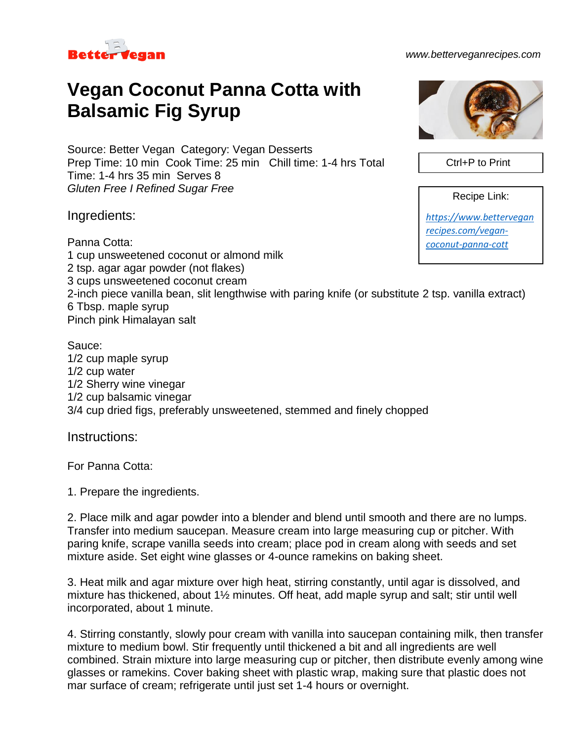

## *www.betterveganrecipes.com*

## **Vegan Coconut Panna Cotta with Balsamic Fig Syrup**

Source: Better Vegan Category: Vegan Desserts Prep Time: 10 min Cook Time: 25 min Chill time: 1-4 hrs Total Time: 1-4 hrs 35 min Serves 8 *Gluten Free I Refined Sugar Free*

Ingredients:

Panna Cotta: 1 cup unsweetened coconut or almond milk 2 tsp. agar agar powder (not flakes) 3 cups unsweetened coconut cream 2-inch piece vanilla bean, slit lengthwise with paring knife (or substitute 2 tsp. vanilla extract) 6 Tbsp. maple syrup Pinch pink Himalayan salt *[coconut-panna-cott](https://www.betterveganrecipes.com/vegan-coconut-panna-cott)*

Sauce: 1/2 cup maple syrup 1/2 cup water 1/2 Sherry wine vinegar 1/2 cup balsamic vinegar 3/4 cup dried figs, preferably unsweetened, stemmed and finely chopped

Instructions:

For Panna Cotta:

1. Prepare the ingredients.

2. Place milk and agar powder into a blender and blend until smooth and there are no lumps. Transfer into medium saucepan. Measure cream into large measuring cup or pitcher. With paring knife, scrape vanilla seeds into cream; place pod in cream along with seeds and set mixture aside. Set eight wine glasses or 4-ounce ramekins on baking sheet.

3. Heat milk and agar mixture over high heat, stirring constantly, until agar is dissolved, and mixture has thickened, about 1½ minutes. Off heat, add maple syrup and salt; stir until well incorporated, about 1 minute.

4. Stirring constantly, slowly pour cream with vanilla into saucepan containing milk, then transfer mixture to medium bowl. Stir frequently until thickened a bit and all ingredients are well combined. Strain mixture into large measuring cup or pitcher, then distribute evenly among wine glasses or ramekins. Cover baking sheet with plastic wrap, making sure that plastic does not mar surface of cream; refrigerate until just set 1-4 hours or overnight.



Ctrl+P to Print

Recipe Link:

*[https://www.bettervegan](https://www.betterveganrecipes.com/vegan-coconut-panna-cott) [recipes.com/vegan-](https://www.betterveganrecipes.com/vegan-coconut-panna-cott)*